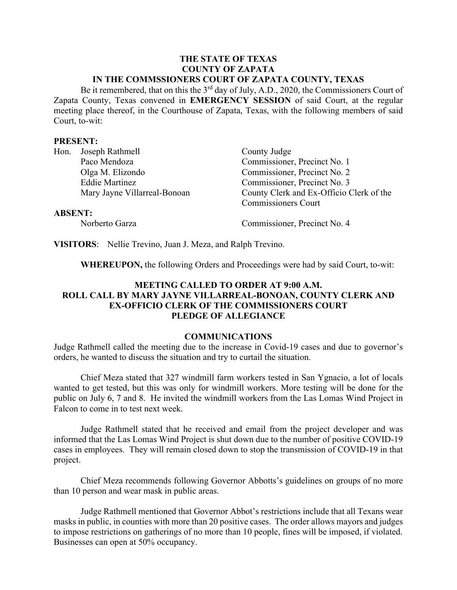### **THE STATE OF TEXAS COUNTY OF ZAPATA IN THE COMMSSIONERS COURT OF ZAPATA COUNTY, TEXAS**

Be it remembered, that on this the  $3<sup>rd</sup>$  day of July, A.D., 2020, the Commissioners Court of Zapata County, Texas convened in **EMERGENCY SESSION** of said Court, at the regular meeting place thereof, in the Courthouse of Zapata, Texas, with the following members of said Court, to-wit:

## **PRESENT:**

|                | Hon. Joseph Rathmell         | County Judge                             |
|----------------|------------------------------|------------------------------------------|
|                | Paco Mendoza                 | Commissioner, Precinct No. 1             |
|                | Olga M. Elizondo             | Commissioner, Precinct No. 2             |
|                | <b>Eddie Martinez</b>        | Commissioner, Precinct No. 3             |
|                | Mary Jayne Villarreal-Bonoan | County Clerk and Ex-Officio Clerk of the |
|                |                              | <b>Commissioners Court</b>               |
| <b>ABSENT:</b> |                              |                                          |

Norberto Garza Commissioner, Precinct No. 4

**VISITORS**: Nellie Trevino, Juan J. Meza, and Ralph Trevino.

**WHEREUPON,** the following Orders and Proceedings were had by said Court, to-wit:

## **MEETING CALLED TO ORDER AT 9:00 A.M. ROLL CALL BY MARY JAYNE VILLARREAL-BONOAN, COUNTY CLERK AND EX-OFFICIO CLERK OF THE COMMISSIONERS COURT PLEDGE OF ALLEGIANCE**

### **COMMUNICATIONS**

Judge Rathmell called the meeting due to the increase in Covid-19 cases and due to governor's orders, he wanted to discuss the situation and try to curtail the situation.

Chief Meza stated that 327 windmill farm workers tested in San Ygnacio, a lot of locals wanted to get tested, but this was only for windmill workers. More testing will be done for the public on July 6, 7 and 8. He invited the windmill workers from the Las Lomas Wind Project in Falcon to come in to test next week.

Judge Rathmell stated that he received and email from the project developer and was informed that the Las Lomas Wind Project is shut down due to the number of positive COVID-19 cases in employees. They will remain closed down to stop the transmission of COVID-19 in that project.

Chief Meza recommends following Governor Abbotts's guidelines on groups of no more than 10 person and wear mask in public areas.

Judge Rathmell mentioned that Governor Abbot's restrictions include that all Texans wear masks in public, in counties with more than 20 positive cases. The order allows mayors and judges to impose restrictions on gatherings of no more than 10 people, fines will be imposed, if violated. Businesses can open at 50% occupancy.